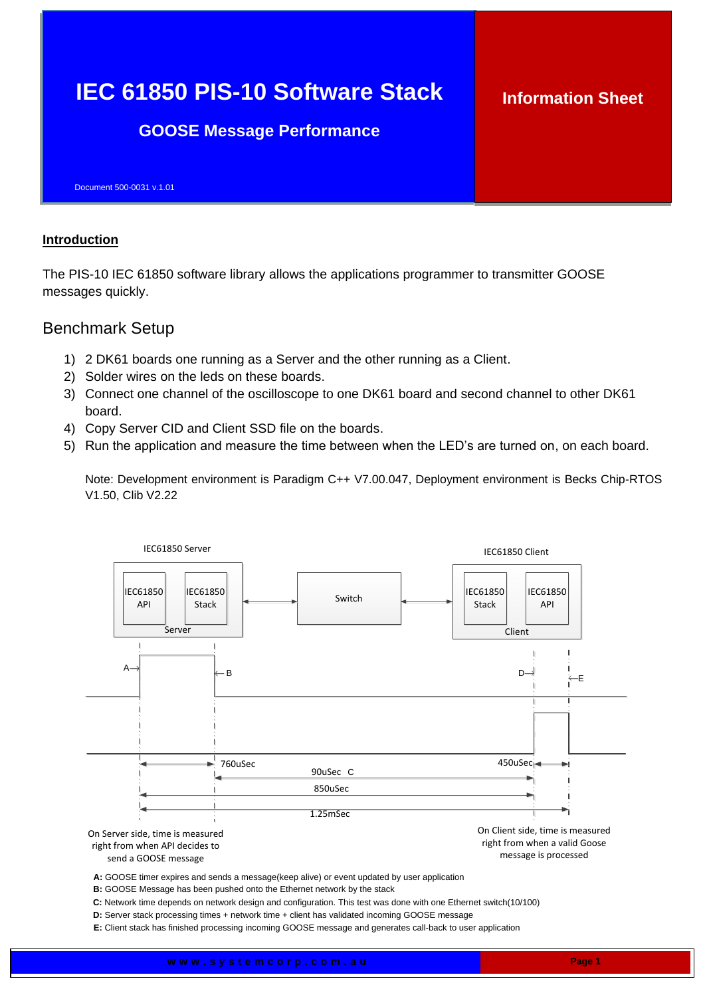## **IEC 61850 PIS-10 Software Stack GOOSE Message Performance** Document 500-0031 v.1.01 **Information Sheet**

## **Introduction**

The PIS-10 IEC 61850 software library allows the applications programmer to transmitter GOOSE messages quickly.

## Benchmark Setup

- 1) 2 DK61 boards one running as a Server and the other running as a Client.
- 2) Solder wires on the leds on these boards.
- 3) Connect one channel of the oscilloscope to one DK61 board and second channel to other DK61 board.
- 4) Copy Server CID and Client SSD file on the boards.
- 5) Run the application and measure the time between when the LED's are turned on, on each board.

Note: Development environment is Paradigm C++ V7.00.047, Deployment environment is Becks Chip-RTOS V1.50, Clib V2.22



**E:** Client stack has finished processing incoming GOOSE message and generates call-back to user application